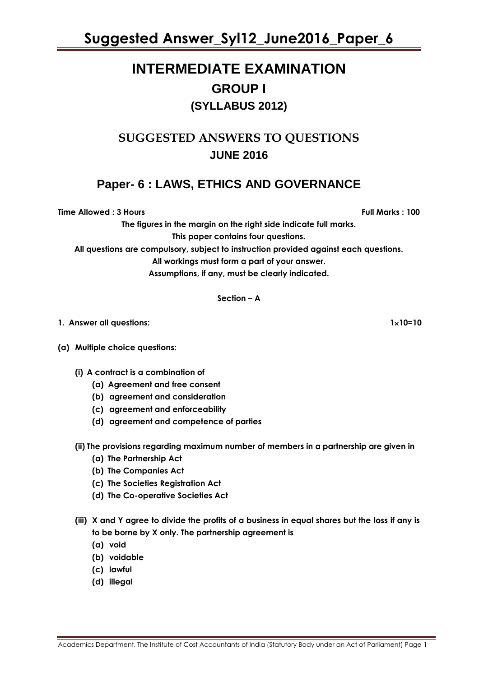# **INTERMEDIATE EXAMINATION GROUP I (SYLLABUS 2012)**

# **SUGGESTED ANSWERS TO QUESTIONS JUNE 2016**

# **Paper- 6 : LAWS, ETHICS AND GOVERNANCE**

**Time Allowed : 3 Hours Full Marks : 100**

**The figures in the margin on the right side indicate full marks.**

**This paper contains four questions.**

**All questions are compulsory, subject to instruction provided against each questions.**

**All workings must form a part of your answer.**

**Assumptions, if any, must be clearly indicated.**

#### **Section – A**

- **1. Answer all questions: 110=10**
- **(a) Multiple choice questions:**
	- **(i) A contract is a combination of** 
		- **(a) Agreement and free consent**
		- **(b) agreement and consideration**
		- **(c) agreement and enforceability**
		- **(d) agreement and competence of parties**
	- **(ii) The provisions regarding maximum number of members in a partnership are given in** 
		- **(a) The Partnership Act**
		- **(b) The Companies Act**
		- **(c) The Societies Registration Act**
		- **(d) The Co-operative Societies Act**
	- **(iii) X and Y agree to divide the profits of a business in equal shares but the loss if any is to be borne by X only. The partnership agreement is**
		- **(a) void**
		- **(b) voidable**
		- **(c) lawful**
		- **(d) illegal**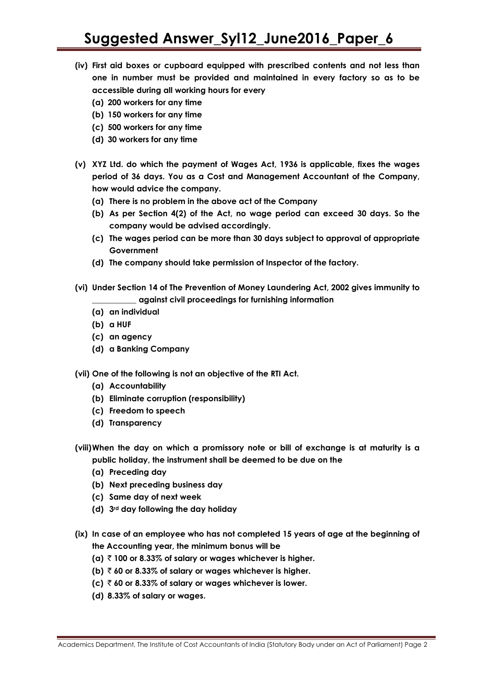- **(iv) First aid boxes or cupboard equipped with prescribed contents and not less than one in number must be provided and maintained in every factory so as to be accessible during all working hours for every**
	- **(a) 200 workers for any time**
	- **(b) 150 workers for any time**
	- **(c) 500 workers for any time**
	- **(d) 30 workers for any time**
- **(v) XYZ Ltd. do which the payment of Wages Act, 1936 is applicable, fixes the wages period of 36 days. You as a Cost and Management Accountant of the Company, how would advice the company.** 
	- **(a) There is no problem in the above act of the Company**
	- **(b) As per Section 4(2) of the Act, no wage period can exceed 30 days. So the company would be advised accordingly.**
	- **(c) The wages period can be more than 30 days subject to approval of appropriate Government**
	- **(d) The company should take permission of Inspector of the factory.**
- **(vi) Under Section 14 of The Prevention of Money Laundering Act, 2002 gives immunity to \_\_\_\_\_\_\_\_\_\_\_ against civil proceedings for furnishing information** 
	- **(a) an individual**
	- **(b) a HUF**
	- **(c) an agency**
	- **(d) a Banking Company**
- **(vii) One of the following is not an objective of the RTI Act.**
	- **(a) Accountability**
	- **(b) Eliminate corruption (responsibility)**
	- **(c) Freedom to speech**
	- **(d) Transparency**
- **(viii)When the day on which a promissory note or bill of exchange is at maturity is a public holiday, the instrument shall be deemed to be due on the**
	- **(a) Preceding day**
	- **(b) Next preceding business day**
	- **(c) Same day of next week**
	- **(d) 3rd day following the day holiday**
- **(ix) In case of an employee who has not completed 15 years of age at the beginning of the Accounting year, the minimum bonus will be** 
	- (a)  $\bar{\tau}$  100 or 8.33% of salary or wages whichever is higher.
	- **(b)**  $\bar{\tau}$  60 or 8.33% of salary or wages whichever is higher.
	- **(c)**  $\bar{\tau}$  60 or 8.33% of salary or wages whichever is lower.
	- **(d) 8.33% of salary or wages.**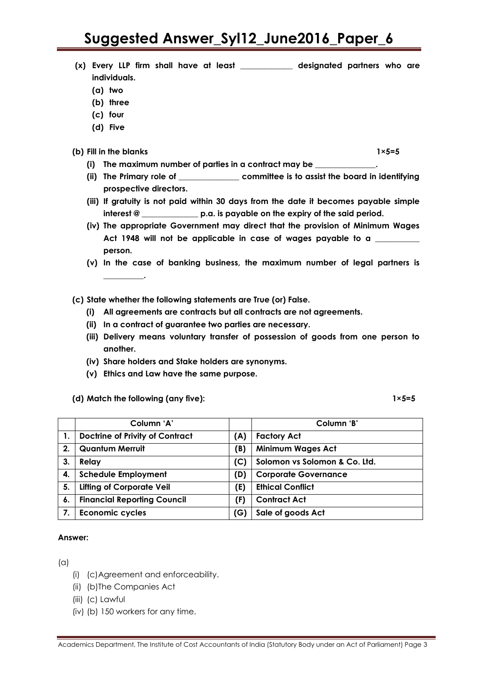- **(x) Every LLP firm shall have at least \_\_\_\_\_\_\_\_\_\_\_\_\_ designated partners who are individuals.**
	- **(a) two**
	- **(b) three**
	- **(c) four**
	- **(d) Five**
- **(b) Fill in the blanks 1×5=5**
	- **(i) The maximum number of parties in a contract may be \_\_\_\_\_\_\_\_\_\_\_\_\_\_\_.**
	- **(ii) The Primary role of \_\_\_\_\_\_\_\_\_\_\_\_\_\_\_ committee is to assist the board in identifying prospective directors.**
	- **(iii) If gratuity is not paid within 30 days from the date it becomes payable simple interest @ \_\_\_\_\_\_\_\_\_\_\_\_\_\_ p.a. is payable on the expiry of the said period.**
	- **(iv) The appropriate Government may direct that the provision of Minimum Wages Act 1948 will not be applicable in case of wages payable to a \_\_\_\_\_\_\_\_\_\_\_ person.**
	- **(v) In the case of banking business, the maximum number of legal partners is \_\_\_\_\_\_\_\_\_\_.**
- **(c) State whether the following statements are True (or) False.**
	- **(i) All agreements are contracts but all contracts are not agreements.**
	- **(ii) In a contract of guarantee two parties are necessary.**
	- **(iii) Delivery means voluntary transfer of possession of goods from one person to another.**
	- **(iv) Share holders and Stake holders are synonyms.**
	- **(v) Ethics and Law have the same purpose.**

#### **(d) Match the following (any five): 1×5=5**

|    | Column 'A'                             |     | Column 'B'                    |  |
|----|----------------------------------------|-----|-------------------------------|--|
|    | <b>Doctrine of Privity of Contract</b> | (A) | <b>Factory Act</b>            |  |
| 2. | <b>Quantum Merruit</b>                 | (B) | <b>Minimum Wages Act</b>      |  |
| 3. | Relay                                  | (C) | Solomon vs Solomon & Co. Ltd. |  |
| 4. | <b>Schedule Employment</b>             | (D) | <b>Corporate Governance</b>   |  |
| 5. | <b>Lifting of Corporate Veil</b>       | (E) | <b>Ethical Conflict</b>       |  |
| 6. | <b>Financial Reporting Council</b>     | (F) | <b>Contract Act</b>           |  |
| 7. | <b>Economic cycles</b>                 | (G) | Sale of goods Act             |  |

#### **Answer:**

 $(a)$ 

- (i) (c)Agreement and enforceability.
- (ii) (b)The Companies Act
- (iii) (c) Lawful
- (iv) (b) 150 workers for any time.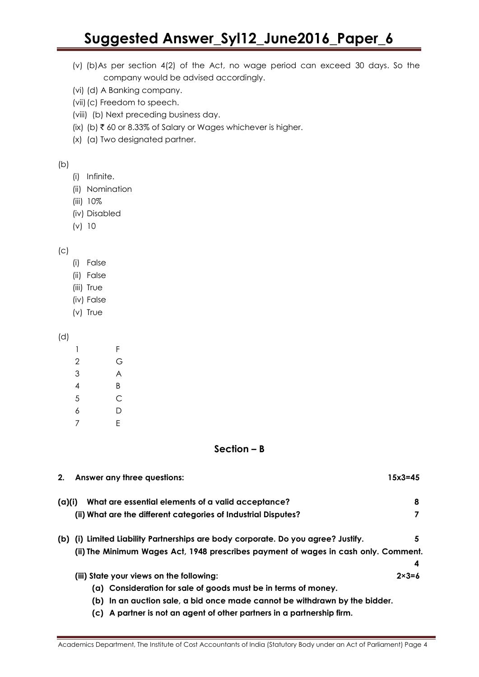- (v) (b)As per section 4(2) of the Act, no wage period can exceed 30 days. So the company would be advised accordingly.
- (vi) (d) A Banking company.
- (vii)(c) Freedom to speech.
- (viii) (b) Next preceding business day.
- (ix) (b)  $\bar{\tau}$  60 or 8.33% of Salary or Wages whichever is higher.
- (x) (a) Two designated partner.

```
(b)
```
- (i) Infinite.
- (ii) Nomination
- (iii) 10%
- (iv) Disabled
- (v) 10

 $(c)$ 

- (i) False
- (ii) False
- (iii) True
- (iv) False
- (v) True

### (d)

| 1 | F |
|---|---|
| 2 | G |
| 3 | A |
| 4 | Β |
| 5 | C |
| 6 | D |
| 7 | Е |

# **Section – B**

| Answer any three questions:<br>2.                                                   | $15x3 = 45$      |
|-------------------------------------------------------------------------------------|------------------|
| What are essential elements of a valid acceptance?<br>(a)(i)                        | 8                |
| (ii) What are the different categories of Industrial Disputes?                      |                  |
| (b) (i) Limited Liability Partnerships are body corporate. Do you agree? Justify.   | 5                |
| (ii) The Minimum Wages Act, 1948 prescribes payment of wages in cash only. Comment. |                  |
|                                                                                     | 4                |
| (iii) State your views on the following:                                            | $2 \times 3 = 6$ |
| (a) Consideration for sale of goods must be in terms of money.                      |                  |
| (b) In an auction sale, a bid once made cannot be withdrawn by the bidder.          |                  |
| (c) A partner is not an agent of other partners in a partnership firm.              |                  |

Academics Department, The Institute of Cost Accountants of India (Statutory Body under an Act of Parliament) Page 4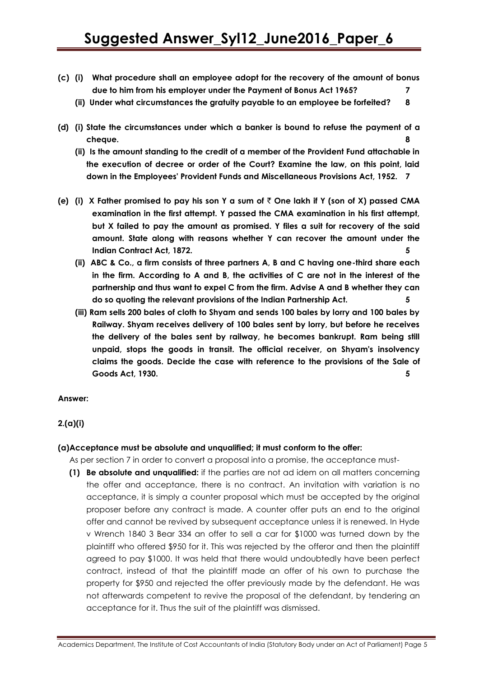- **(c) (i) What procedure shall an employee adopt for the recovery of the amount of bonus due to him from his employer under the Payment of Bonus Act 1965? 7**
	- **(ii) Under what circumstances the gratuity payable to an employee be forfeited? 8**
- **(d) (i) State the circumstances under which a banker is bound to refuse the payment of a cheque. 8**
	- **(ii) Is the amount standing to the credit of a member of the Provident Fund attachable in the execution of decree or order of the Court? Examine the law, on this point, laid down in the Employees' Provident Funds and Miscellaneous Provisions Act, 1952. 7**
- **(e) (i) X Father promised to pay his son Y a sum of** ` **One lakh if Y (son of X) passed CMA examination in the first attempt. Y passed the CMA examination in his first attempt, but X failed to pay the amount as promised. Y files a suit for recovery of the said amount. State along with reasons whether Y can recover the amount under the Indian Contract Act, 1872. 5**
	- **(ii) ABC & Co., a firm consists of three partners A, B and C having one-third share each in the firm. According to A and B, the activities of C are not in the interest of the partnership and thus want to expel C from the firm. Advise A and B whether they can do so quoting the relevant provisions of the Indian Partnership Act. 5**
	- **(iii) Ram sells 200 bales of cloth to Shyam and sends 100 bales by lorry and 100 bales by Railway. Shyam receives delivery of 100 bales sent by lorry, but before he receives the delivery of the bales sent by railway, he becomes bankrupt. Ram being still unpaid, stops the goods in transit. The official receiver, on Shyam's insolvency claims the goods. Decide the case with reference to the provisions of the Sale of Goods Act, 1930. 5**

#### **Answer:**

#### **2.(a)(i)**

#### **(a)Acceptance must be absolute and unqualified; it must conform to the offer:**

As per section 7 in order to convert a proposal into a promise, the acceptance must-

**(1) Be absolute and unqualified:** if the parties are not ad idem on all matters concerning the offer and acceptance, there is no contract. An invitation with variation is no acceptance, it is simply a counter proposal which must be accepted by the original proposer before any contract is made. A counter offer puts an end to the original offer and cannot be revived by subsequent acceptance unless it is renewed. In Hyde v Wrench 1840 3 Bear 334 an offer to sell a car for \$1000 was turned down by the plaintiff who offered \$950 for it. This was rejected by the offeror and then the plaintiff agreed to pay \$1000. It was held that there would undoubtedly have been perfect contract, instead of that the plaintiff made an offer of his own to purchase the property for \$950 and rejected the offer previously made by the defendant. He was not afterwards competent to revive the proposal of the defendant, by tendering an acceptance for it. Thus the suit of the plaintiff was dismissed.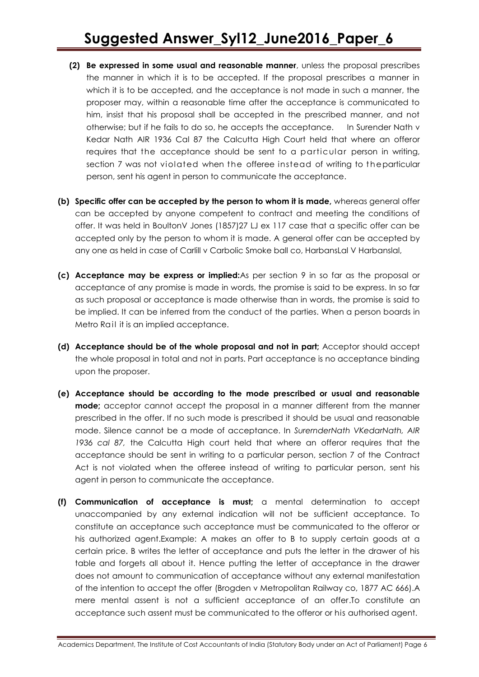- **(2) Be expressed in some usual and reasonable manner**, unless the proposal prescribes the manner in which it is to be accepted. If the proposal prescribes a manner in which it is to be accepted, and the acceptance is not made in such a manner, the proposer may, within a reasonable time after the acceptance is communicated to him, insist that his proposal shall be accepted in the prescribed manner, and not otherwise; but if he fails to do so, he accepts the acceptance. In Surender Nath v Kedar Nath AIR 1936 Cal 87 the Calcutta High Court held that where an offeror requires that the acceptance should be sent to a particular person in writing, section 7 was not violated when the offeree instead of writing to the particular person, sent his agent in person to communicate the acceptance.
- **(b) Specific offer can be accepted by the person to whom it is made,** whereas general offer can be accepted by anyone competent to contract and meeting the conditions of offer. It was held in BoultonV Jones (1857)27 LJ ex 117 case that a specific offer can be accepted only by the person to whom it is made. A general offer can be accepted by any one as held in case of Carlill v Carbolic Smoke ball co, HarbansLal V Harbanslal,
- **(c) Acceptance may be express or implied:**As per section 9 in so far as the proposal or acceptance of any promise is made in words, the promise is said to be express. In so far as such proposal or acceptance is made otherwise than in words, the promise is said to be implied. It can be inferred from the conduct of the parties. When a person boards in Metro Rail it is an implied acceptance.
- **(d) Acceptance should be of the whole proposal and not in part;** Acceptor should accept the whole proposal in total and not in parts. Part acceptance is no acceptance binding upon the proposer.
- **(e) Acceptance should be according to the mode prescribed or usual and reasonable mode;** acceptor cannot accept the proposal in a manner different from the manner prescribed in the offer. If no such mode is prescribed it should be usual and reasonable mode. Silence cannot be a mode of acceptance. In *SurernderNath VKedarNath, AIR 1936 cal 87,* the Calcutta High court held that where an offeror requires that the acceptance should be sent in writing to a particular person, section 7 of the Contract Act is not violated when the offeree instead of writing to particular person, sent his agent in person to communicate the acceptance.
- **(f) Communication of acceptance is must;** a mental determination to accept unaccompanied by any external indication will not be sufficient acceptance. To constitute an acceptance such acceptance must be communicated to the offeror or his authorized agent.Example: A makes an offer to B to supply certain goods at a certain price. B writes the letter of acceptance and puts the letter in the drawer of his table and forgets all about it. Hence putting the letter of acceptance in the drawer does not amount to communication of acceptance without any external manifestation of the intention to accept the offer (Brogden v Metropolitan Railway co, 1877 AC 666).A mere mental assent is not a sufficient acceptance of an offer.To constitute an acceptance such assent must be communicated to the offeror or his authorised agent.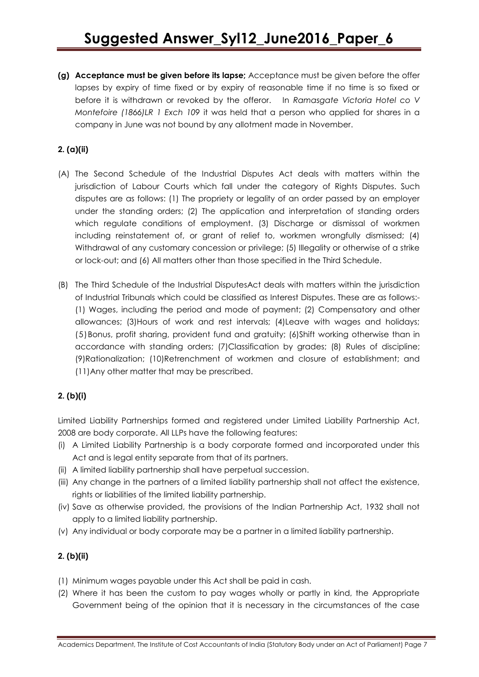**(g) Acceptance must be given before its lapse;** Acceptance must be given before the offer lapses by expiry of time fixed or by expiry of reasonable time if no time is so fixed or before it is withdrawn or revoked by the offeror. In *Ramasgate Victoria Hotel co V Montefoire (1866)LR 1 Exch 109* it was held that a person who applied for shares in a company in June was not bound by any allotment made in November.

# **2. (a)(ii)**

- (A) The Second Schedule of the Industrial Disputes Act deals with matters within the jurisdiction of Labour Courts which fall under the category of Rights Disputes. Such disputes are as follows: (1) The propriety or legality of an order passed by an employer under the standing orders; (2) The application and interpretation of standing orders which regulate conditions of employment. (3) Discharge or dismissal of workmen including reinstatement of, or grant of relief to, workmen wrongfully dismissed; (4) Withdrawal of any customary concession or privilege; (5) Illegality or otherwise of a strike or lock-out; and (6) All matters other than those specified in the Third Schedule.
- (B) The Third Schedule of the Industrial DisputesAct deals with matters within the jurisdiction of Industrial Tribunals which could be classified as Interest Disputes. These are as follows:- (1) Wages, including the period and mode of payment; (2) Compensatory and other allowances; (3)Hours of work and rest intervals; (4)Leave with wages and holidays; (5)Bonus, profit sharing, provident fund and gratuity; (6)Shift working otherwise than in accordance with standing orders; (7)Classification by grades; (8) Rules of discipline; (9)Rationalization; (10)Retrenchment of workmen and closure of establishment; and (11)Any other matter that may be prescribed.

# **2. (b)(i)**

Limited Liability Partnerships formed and registered under Limited Liability Partnership Act, 2008 are body corporate. All LLPs have the following features:

- (i) A Limited Liability Partnership is a body corporate formed and incorporated under this Act and is legal entity separate from that of its partners.
- (ii) A limited liability partnership shall have perpetual succession.
- (iii) Any change in the partners of a limited liability partnership shall not affect the existence, rights or liabilities of the limited liability partnership.
- (iv) Save as otherwise provided, the provisions of the Indian Partnership Act, 1932 shall not apply to a limited liability partnership.
- (v) Any individual or body corporate may be a partner in a limited liability partnership.

# **2. (b)(ii)**

- (1) Minimum wages payable under this Act shall be paid in cash.
- (2) Where it has been the custom to pay wages wholly or partly in kind, the Appropriate Government being of the opinion that it is necessary in the circumstances of the case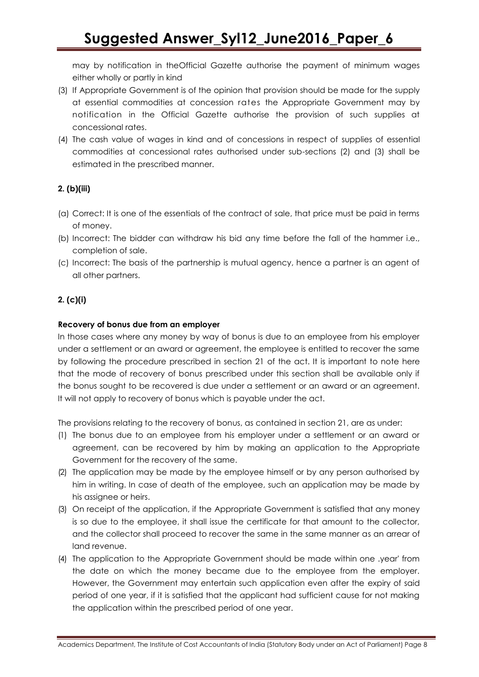may by notification in theOfficial Gazette authorise the payment of minimum wages either wholly or partly in kind

- (3) If Appropriate Government is of the opinion that provision should be made for the supply at essential commodities at concession rates the Appropriate Government may by notification in the Official Gazette authorise the provision of such supplies at concessional rates.
- (4) The cash value of wages in kind and of concessions in respect of supplies of essential commodities at concessional rates authorised under sub-sections (2) and (3) shall be estimated in the prescribed manner.

## **2. (b)(iii)**

- (a) Correct: It is one of the essentials of the contract of sale, that price must be paid in terms of money.
- (b) Incorrect: The bidder can withdraw his bid any time before the fall of the hammer i.e., completion of sale.
- (c) Incorrect: The basis of the partnership is mutual agency, hence a partner is an agent of all other partners.

# **2. (c)(i)**

#### **Recovery of bonus due from an employer**

In those cases where any money by way of bonus is due to an employee from his employer under a settlement or an award or agreement, the employee is entitled to recover the same by following the procedure prescribed in section 21 of the act. It is important to note here that the mode of recovery of bonus prescribed under this section shall be available only if the bonus sought to be recovered is due under a settlement or an award or an agreement. It will not apply to recovery of bonus which is payable under the act.

The provisions relating to the recovery of bonus, as contained in section 21, are as under:

- (1) The bonus due to an employee from his employer under a settlement or an award or agreement, can be recovered by him by making an application to the Appropriate Government for the recovery of the same.
- (2) The application may be made by the employee himself or by any person authorised by him in writing. In case of death of the employee, such an application may be made by his assignee or heirs.
- (3) On receipt of the application, if the Appropriate Government is satisfied that any money is so due to the employee, it shall issue the certificate for that amount to the collector, and the collector shall proceed to recover the same in the same manner as an arrear of land revenue.
- (4) The application to the Appropriate Government should be made within one .year' from the date on which the money became due to the employee from the employer. However, the Government may entertain such application even after the expiry of said period of one year, if it is satisfied that the applicant had sufficient cause for not making the application within the prescribed period of one year.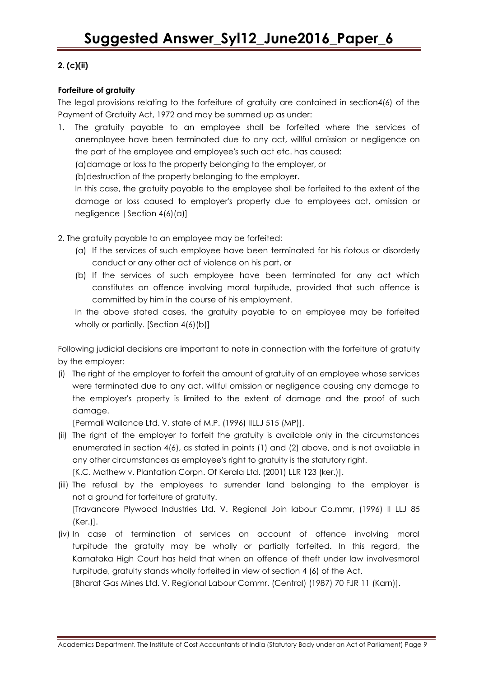## **2. (c)(ii)**

## **Forfeiture of gratuity**

The legal provisions relating to the forfeiture of gratuity are contained in section4(6) of the Payment of Gratuity Act, 1972 and may be summed up as under:

1. The gratuity payable to an employee shall be forfeited where the services of anemployee have been terminated due to any act, willful omission or negligence on the part of the employee and employee's such act etc. has caused:

(a)damage or loss to the property belonging to the employer, or

(b)destruction of the property belonging to the employer.

In this case, the gratuity payable to the employee shall be forfeited to the extent of the damage or loss caused to employer's property due to employees act, omission or negligence |Section 4(6)(a)]

- 2. The gratuity payable to an employee may be forfeited:
	- (a) If the services of such employee have been terminated for his riotous or disorderly conduct or any other act of violence on his part, or
	- (b) If the services of such employee have been terminated for any act which constitutes an offence involving moral turpitude, provided that such offence is committed by him in the course of his employment.

In the above stated cases, the gratuity payable to an employee may be forfeited wholly or partially. [Section 4(6)(b)]

Following judicial decisions are important to note in connection with the forfeiture of gratuity by the employer:

(i) The right of the employer to forfeit the amount of gratuity of an employee whose services were terminated due to any act, willful omission or negligence causing any damage to the employer's property is limited to the extent of damage and the proof of such damage.

[Permali Wallance Ltd. V. state of M.P. (1996) IILLJ 515 (MP)].

(ii) The right of the employer to forfeit the gratuity is available only in the circumstances enumerated in section 4(6), as stated in points (1) and (2) above, and is not available in any other circumstances as employee's right to gratuity is the statutory right.

[K.C. Mathew v. Plantation Corpn. Of Kerala Ltd. (2001) LLR 123 (ker.)].

- (iii) The refusal by the employees to surrender land belonging to the employer is not a ground for forfeiture of gratuity. [Travancore Plywood Industries Ltd. V. Regional Join labour Co.mmr, (1996) II LLJ 85 (Ker.)].
- (iv) In case of termination of services on account of offence involving moral turpitude the gratuity may be wholly or partially forfeited. In this regard, the Karnataka High Court has held that when an offence of theft under law involvesmoral turpitude, gratuity stands wholly forfeited in view of section 4 (6) of the Act.

[Bharat Gas Mines Ltd. V. Regional Labour Commr. (Central) (1987) 70 FJR 11 (Karn)].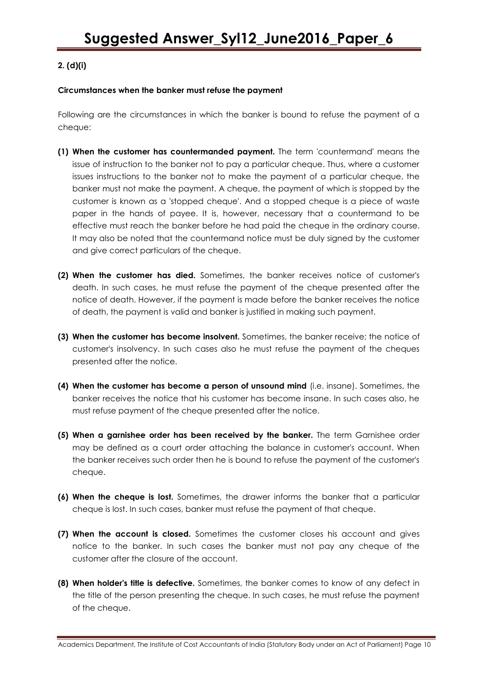## **2. (d)(i)**

#### **Circumstances when the banker must refuse the payment**

Following are the circumstances in which the banker is bound to refuse the payment of a cheque:

- **(1) When the customer has countermanded payment.** The term 'countermand' means the issue of instruction to the banker not to pay a particular cheque. Thus, where a customer issues instructions to the banker not to make the payment of a particular cheque, the banker must not make the payment. A cheque, the payment of which is stopped by the customer is known as a 'stopped cheque'. And a stopped cheque is a piece of waste paper in the hands of payee. It is, however, necessary that a countermand to be effective must reach the banker before he had paid the cheque in the ordinary course. It may also be noted that the countermand notice must be duly signed by the customer and give correct particulars of the cheque.
- **(2) When the customer has died.** Sometimes, the banker receives notice of customer's death. In such cases, he must refuse the payment of the cheque presented after the notice of death. However, if the payment is made before the banker receives the notice of death, the payment is valid and banker is justified in making such payment.
- **(3) When the customer has become insolvent.** Sometimes, the banker receive; the notice of customer's insolvency. In such cases also he must refuse the payment of the cheques presented after the notice.
- **(4) When the customer has become a person of unsound mind** (i.e. insane). Sometimes, the banker receives the notice that his customer has become insane. In such cases also, he must refuse payment of the cheque presented after the notice.
- **(5) When a garnishee order has been received by the banker.** The term Garnishee order may be defined as a court order attaching the balance in customer's account. When the banker receives such order then he is bound to refuse the payment of the customer's cheque.
- **(6) When the cheque is lost.** Sometimes, the drawer informs the banker that a particular cheque is lost. In such cases, banker must refuse the payment of that cheque.
- **(7) When the account is closed.** Sometimes the customer closes his account and gives notice to the banker. In such cases the banker must not pay any cheque of the customer after the closure of the account.
- **(8) When holder's title is defective.** Sometimes, the banker comes to know of any defect in the title of the person presenting the cheque. In such cases, he must refuse the payment of the cheque.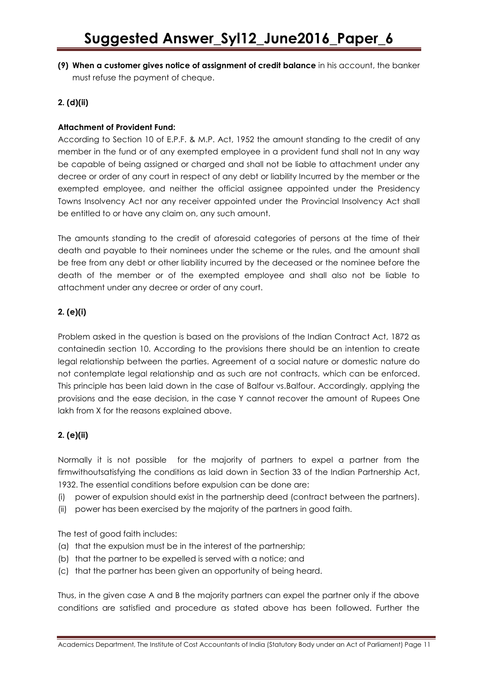**(9) When a customer gives notice of assignment of credit balance** in his account, the banker must refuse the payment of cheque.

# **2. (d)(ii)**

#### **Attachment of Provident Fund:**

According to Section 10 of E.P.F. & M.P. Act, 1952 the amount standing to the credit of any member in the fund or of any exempted employee in a provident fund shall not In any way be capable of being assigned or charged and shall not be liable to attachment under any decree or order of any court in respect of any debt or liability Incurred by the member or the exempted employee, and neither the official assignee appointed under the Presidency Towns Insolvency Act nor any receiver appointed under the Provincial Insolvency Act shall be entitled to or have any claim on, any such amount.

The amounts standing to the credit of aforesaid categories of persons at the time of their death and payable to their nominees under the scheme or the rules, and the amount shall be free from any debt or other liability incurred by the deceased or the nominee before the death of the member or of the exempted employee and shall also not be liable to attachment under any decree or order of any court.

#### **2. (e)(i)**

Problem asked in the question is based on the provisions of the Indian Contract Act, 1872 as containedin section 10. According to the provisions there should be an intention to create legal relationship between the parties. Agreement of a social nature or domestic nature do not contemplate legal relationship and as such are not contracts, which can be enforced. This principle has been laid down in the case of Balfour vs.Balfour. Accordingly, applying the provisions and the ease decision, in the case Y cannot recover the amount of Rupees One lakh from X for the reasons explained above.

# **2. (e)(ii)**

Normally it is not possible for the majority of partners to expel a partner from the firmwithoutsatisfying the conditions as laid down in Section 33 of the Indian Partnership Act, 1932. The essential conditions before expulsion can be done are:

- (i) power of expulsion should exist in the partnership deed (contract between the partners).
- (ii) power has been exercised by the majority of the partners in good faith.

The test of good faith includes:

- (a) that the expulsion must be in the interest of the partnership;
- (b) that the partner to be expelled is served with a notice; and
- (c) that the partner has been given an opportunity of being heard.

Thus, in the given case A and B the majority partners can expel the partner only if the above conditions are satisfied and procedure as stated above has been followed. Further the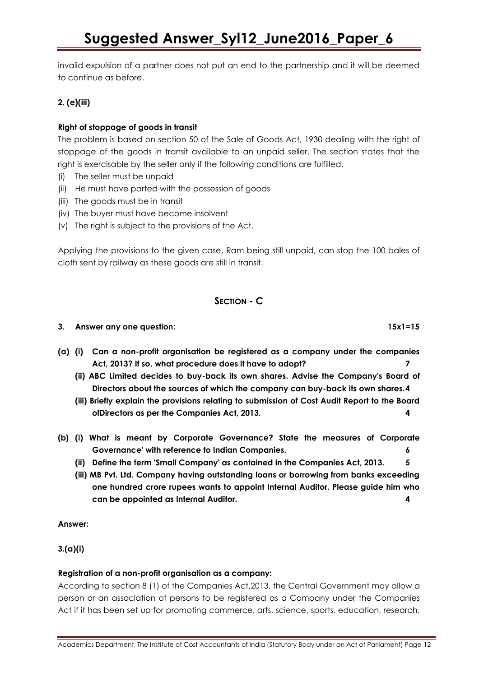invalid expulsion of a partner does not put an end to the partnership and it will be deemed to continue as before.

# **2. (e)(iii)**

# **Right of stoppage of goods in transit**

The problem is based on section 50 of the Sale of Goods Act, 1930 dealing with the right of stoppage of the goods in transit available to an unpaid seller. The section states that the right is exercisable by the seller only if the following conditions are fulfilled.

- (i) The seller must be unpaid
- (ii) He must have parted with the possession of goods
- (iii) The goods must be in transit
- (iv) The buyer must have become insolvent
- (v) The right is subject to the provisions of the Act.

Applying the provisions to the given case, Ram being still unpaid, can stop the 100 bales of cloth sent by railway as these goods are still in transit.

# **SECTION - C**

#### **3. Answer any one question: 15x1=15**

- **(a) (i) Can a non-profit organisation be registered as a company under the companies Act, 2013? If so, what procedure does it have to adopt? 7**
	- **(ii) ABC Limited decides to buy-back its own shares. Advise the Company's Board of Directors about the sources of which the company can buy-back its own shares.4**
	- **(iii) Briefly explain the provisions relating to submission of Cost Audit Report to the Board ofDirectors as per the Companies Act, 2013. 4**
- **(b) (i) What is meant by Corporate Governance? State the measures of Corporate Governance' with reference to Indian Companies. 6**
	- **(ii) Define the term 'Small Company' as contained in the Companies Act, 2013. 5**
	- **(iii) MB Pvt. Ltd. Company having outstanding loans or borrowing from banks exceeding one hundred crore rupees wants to appoint Internal Auditor. Please guide him who can be appointed as Internal Auditor. 4**

#### **Answer:**

### **3.(a)(i)**

#### **Registration of a non-profit organisation as a company:**

According to section 8 (1) of the Companies Act,2013, the Central Government may allow a person or an association of persons to be registered as a Company under the Companies Act if it has been set up for promoting commerce, arts, science, sports, education, research,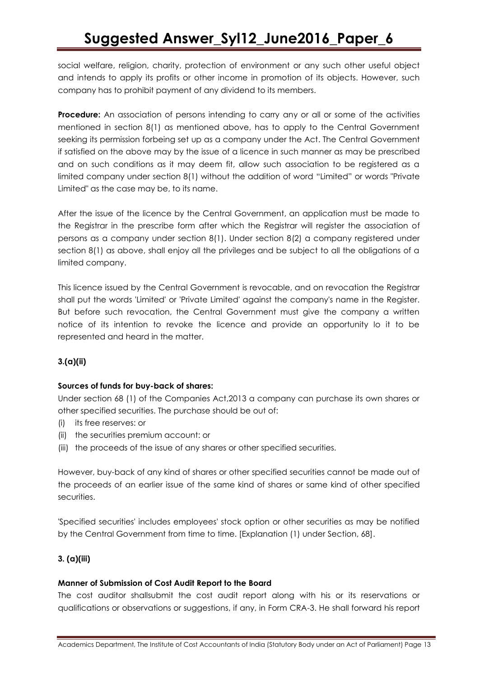social welfare, religion, charity, protection of environment or any such other useful object and intends to apply its profits or other income in promotion of its objects. However, such company has to prohibit payment of any dividend to its members.

**Procedure:** An association of persons intending to carry any or all or some of the activities mentioned in section 8(1) as mentioned above, has to apply to the Central Government seeking its permission forbeing set up as a company under the Act. The Central Government if satisfied on the above may by the issue of a licence in such manner as may be prescribed and on such conditions as it may deem fit, allow such association to be registered as a limited company under section 8(1) without the addition of word "Limited" or words "Private Limited" as the case may be, to its name.

After the issue of the licence by the Central Government, an application must be made to the Registrar in the prescribe form after which the Registrar will register the association of persons as a company under section 8(1). Under section 8(2) a company registered under section 8(1) as above, shall enjoy all the privileges and be subject to all the obligations of a limited company.

This licence issued by the Central Government is revocable, and on revocation the Registrar shall put the words 'Limited' or 'Private Limited' against the company's name in the Register. But before such revocation, the Central Government must give the company a written notice of its intention to revoke the licence and provide an opportunity lo it to be represented and heard in the matter.

# **3.(a)(ii)**

# **Sources of funds for buy-back of shares:**

Under section 68 (1) of the Companies Act,2013 a company can purchase its own shares or other specified securities. The purchase should be out of:

- (i) its free reserves: or
- (ii) the securities premium account: or
- (iii) the proceeds of the issue of any shares or other specified securities.

However, buy-back of any kind of shares or other specified securities cannot be made out of the proceeds of an earlier issue of the same kind of shares or same kind of other specified securities.

'Specified securities' includes employees' stock option or other securities as may be notified by the Central Government from time to time. [Explanation (1) under Section, 68].

# **3. (a)(iii)**

#### **Manner of Submission of Cost Audit Report to the Board**

The cost auditor shallsubmit the cost audit report along with his or its reservations or qualifications or observations or suggestions, if any, in Form CRA-3. He shall forward his report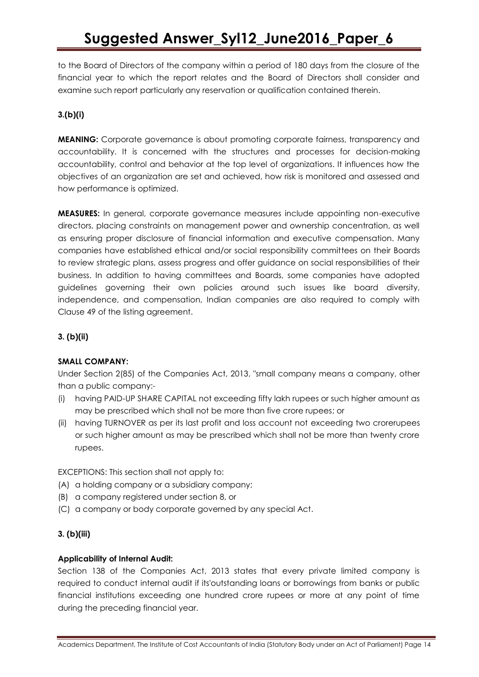to the Board of Directors of the company within a period of 180 days from the closure of the financial year to which the report relates and the Board of Directors shall consider and examine such report particularly any reservation or qualification contained therein.

# **3.(b)(i)**

**MEANING:** Corporate governance is about promoting corporate fairness, transparency and accountability. It is concerned with the structures and processes for decision-making accountability, control and behavior at the top level of organizations. It influences how the objectives of an organization are set and achieved, how risk is monitored and assessed and how performance is optimized.

**MEASURES:** In general, corporate governance measures include appointing non-executive directors, placing constraints on management power and ownership concentration, as well as ensuring proper disclosure of financial information and executive compensation. Many companies have established ethical and/or social responsibility committees on their Boards to review strategic plans, assess progress and offer guidance on social responsibilities of their business. In addition to having committees and Boards, some companies have adopted guidelines governing their own policies around such issues like board diversity, independence, and compensation, Indian companies are also required to comply with Clause 49 of the listing agreement.

## **3. (b)(ii)**

#### **SMALL COMPANY:**

Under Section 2(85) of the Companies Act, 2013, "small company means a company, other than a public company:-

- (i) having PAID-UP SHARE CAPITAL not exceeding fifty lakh rupees or such higher amount as may be prescribed which shall not be more than five crore rupees; or
- (ii) having TURNOVER as per its last profit and loss account not exceeding two crorerupees or such higher amount as may be prescribed which shall not be more than twenty crore rupees.

EXCEPTIONS: This section shall not apply to:

- (A) a holding company or a subsidiary company;
- (B) a company registered under section 8, or
- (C) a company or body corporate governed by any special Act.

#### **3. (b)(iii)**

#### **Applicability of Internal Audit:**

Section 138 of the Companies Act, 2013 states that every private limited company is required to conduct internal audit if its'outstanding loans or borrowings from banks or public financial institutions exceeding one hundred crore rupees or more at any point of time during the preceding financial year.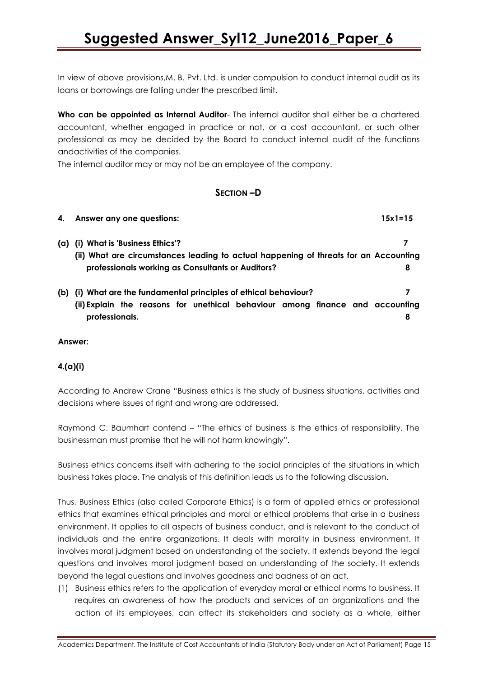In view of above provisions,M. B. Pvt. Ltd. is under compulsion to conduct internal audit as its loans or borrowings are falling under the prescribed limit.

**Who can be appointed as Internal Auditor**- The internal auditor shall either be a chartered accountant, whether engaged in practice or not, or a cost accountant, or such other professional as may be decided by the Board to conduct internal audit of the functions andactivities of the companies.

The internal auditor may or may not be an employee of the company.

# **SECTION –D**

| 4.  | Answer any one questions:                                                            | 15x1=15 |  |
|-----|--------------------------------------------------------------------------------------|---------|--|
| (a) | (i) What is 'Business Ethics'?                                                       |         |  |
|     | (ii) What are circumstances leading to actual happening of threats for an Accounting |         |  |
|     | professionals working as Consultants or Auditors?                                    | 8       |  |
| (b) | (i) What are the fundamental principles of ethical behaviour?                        |         |  |
|     | (ii) Explain the reasons for unethical behaviour among finance and accounting        |         |  |
|     | professionals.                                                                       | 8       |  |

#### **Answer:**

# **4.(a)(i)**

According to Andrew Crane "Business ethics is the study of business situations, activities and decisions where issues of right and wrong are addressed.

Raymond C. Baumhart contend – "The ethics of business is the ethics of responsibility. The businessman must promise that he will not harm knowingly".

Business ethics concerns itself with adhering to the social principles of the situations in which business takes place. The analysis of this definition leads us to the following discussion.

Thus, Business Ethics (also called Corporate Ethics) is a form of applied ethics or professional ethics that examines ethical principles and moral or ethical problems that arise in a business environment. It applies to all aspects of business conduct, and is relevant to the conduct of individuals and the entire organizations. It deals with morality in business environment. It involves moral judgment based on understanding of the society. It extends beyond the legal questions and involves moral judgment based on understanding of the society. It extends beyond the legal questions and involves goodness and badness of an act.

(1) Business ethics refers to the application of everyday moral or ethical norms to business. It requires an awareness of how the products and services of an organizations and the action of its employees, can affect its stakeholders and society as a whole, either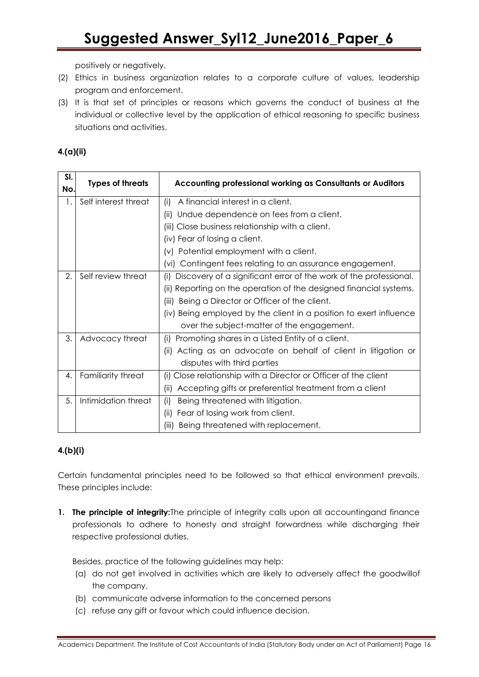positively or negatively.

- (2) Ethics in business organization relates to a corporate culture of values, leadership program and enforcement.
- (3) It is that set of principles or reasons which governs the conduct of business at the individual or collective level by the application of ethical reasoning to specific business situations and activities.

# **4.(a)(ii)**

| SI.<br>No. | <b>Types of threats</b> | Accounting professional working as Consultants or Auditors               |
|------------|-------------------------|--------------------------------------------------------------------------|
| 1.         | Self interest threat    | (i)<br>A financial interest in a client.                                 |
|            |                         | (ii) Undue dependence on fees from a client.                             |
|            |                         | (iii) Close business relationship with a client.                         |
|            |                         | (iv) Fear of losing a client.                                            |
|            |                         | (v) Potential employment with a client.                                  |
|            |                         | (vi) Contingent fees relating to an assurance engagement.                |
| 2.         | Self review threat      | Discovery of a significant error of the work of the professional.<br>(i) |
|            |                         | (ii) Reporting on the operation of the designed financial systems.       |
|            |                         | Being a Director or Officer of the client.<br>(iii)                      |
|            |                         | (iv) Being employed by the client in a position to exert influence       |
|            |                         | over the subject-matter of the engagement.                               |
| 3.         | Advocacy threat         | (i) Promoting shares in a Listed Entity of a client.                     |
|            |                         | (ii) Acting as an advocate on behalf of client in litigation or          |
|            |                         | disputes with third parties                                              |
| 4.         | Familiarity threat      | (i) Close relationship with a Director or Officer of the client          |
|            |                         | Accepting gifts or preferential treatment from a client<br>(ii)          |
| 5.         | Intimidation threat     | (i)<br>Being threatened with litigation.                                 |
|            |                         | Fear of losing work from client.<br>(ii)                                 |
|            |                         | Being threatened with replacement.<br>(iii)                              |

# **4.(b)(i)**

Certain fundamental principles need to be followed so that ethical environment prevails. These principles include:

**1. The principle of integrity:**The principle of integrity calls upon all accountingand finance professionals to adhere to honesty and straight forwardness while discharging their respective professional duties.

Besides, practice of the following guidelines may help:

- (a) do not get involved in activities which are likely to adversely affect the goodwillof the company.
- (b) communicate adverse information to the concerned persons
- (c) refuse any gift or favour which could influence decision.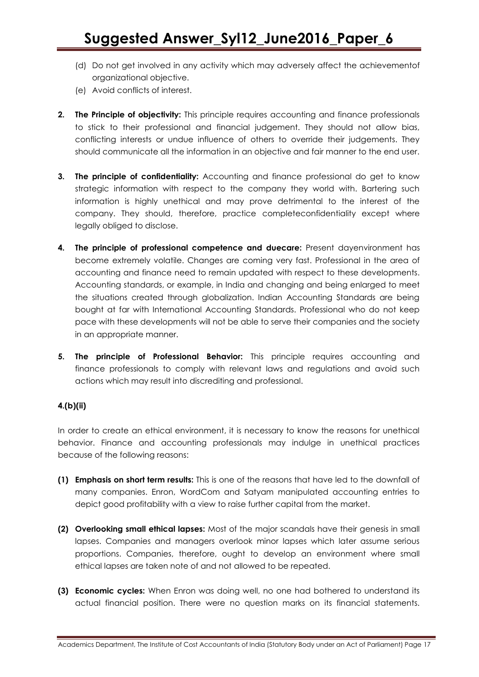- (d) Do not get involved in any activity which may adversely affect the achievementof organizational objective.
- (e) Avoid conflicts of interest.
- **2. The Principle of objectivity:** This principle requires accounting and finance professionals to stick to their professional and financial judgement. They should not allow bias, conflicting interests or undue influence of others to override their judgements. They should communicate all the information in an objective and fair manner to the end user.
- **3. The principle of confidentiality:** Accounting and finance professional do get to know strategic information with respect to the company they world with. Bartering such information is highly unethical and may prove detrimental to the interest of the company. They should, therefore, practice completeconfidentiality except where legally obliged to disclose.
- **4. The principle of professional competence and duecare:** Present dayenvironment has become extremely volatile. Changes are coming very fast. Professional in the area of accounting and finance need to remain updated with respect to these developments. Accounting standards, or example, in India and changing and being enlarged to meet the situations created through globalization. Indian Accounting Standards are being bought at far with International Accounting Standards. Professional who do not keep pace with these developments will not be able to serve their companies and the society in an appropriate manner.
- **5. The principle of Professional Behavior:** This principle requires accounting and finance professionals to comply with relevant laws and regulations and avoid such actions which may result into discrediting and professional.

# **4.(b)(ii)**

In order to create an ethical environment, it is necessary to know the reasons for unethical behavior. Finance and accounting professionals may indulge in unethical practices because of the following reasons:

- **(1) Emphasis on short term results:** This is one of the reasons that have led to the downfall of many companies. Enron, WordCom and Satyam manipulated accounting entries to depict good profitability with a view to raise further capital from the market.
- **(2) Overlooking small ethical lapses:** Most of the major scandals have their genesis in small lapses. Companies and managers overlook minor lapses which later assume serious proportions. Companies, therefore, ought to develop an environment where small ethical lapses are taken note of and not allowed to be repeated.
- **(3) Economic cycles:** When Enron was doing well, no one had bothered to understand its actual financial position. There were no question marks on its financial statements.